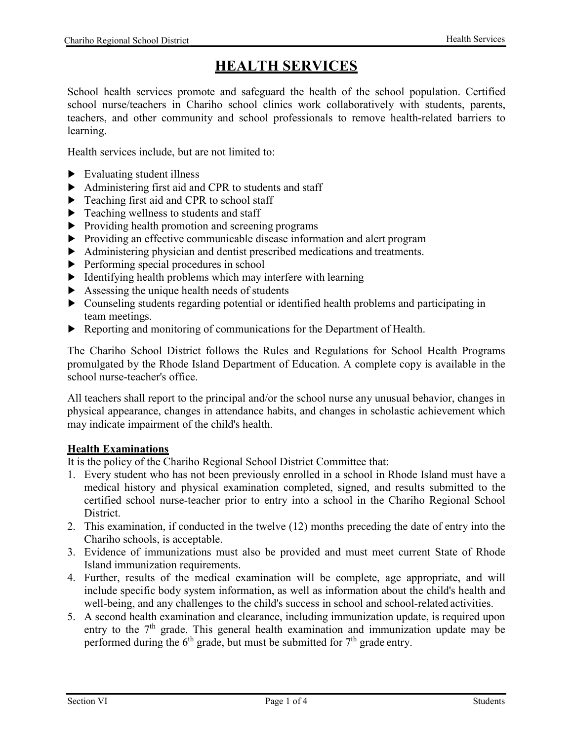# **HEALTH SERVICES**

School health services promote and safeguard the health of the school population. Certified school nurse/teachers in Chariho school clinics work collaboratively with students, parents, teachers, and other community and school professionals to remove health-related barriers to learning.

Health services include, but are not limited to:

- ► Evaluating student illness
- ► Administering first aid and CPR to students and staff
- ► Teaching first aid and CPR to school staff
- ► Teaching wellness to students and staff
- ► Providing health promotion and screening programs
- ► Providing an effective communicable disease information and alert program
- ► Administering physician and dentist prescribed medications and treatments.
- ► Performing special procedures in school
- ► Identifying health problems which may interfere with learning
- ► Assessing the unique health needs of students
- ► Counseling students regarding potential or identified health problems and participating in team meetings.
- ► Reporting and monitoring of communications for the Department of Health.

The Chariho School District follows the Rules and Regulations for School Health Programs promulgated by the Rhode Island Department of Education. A complete copy is available in the school nurse-teacher's office.

All teachers shall report to the principal and/or the school nurse any unusual behavior, changes in physical appearance, changes in attendance habits, and changes in scholastic achievement which may indicate impairment of the child's health.

#### **Health Examinations**

It is the policy of the Chariho Regional School District Committee that:

- 1. Every student who has not been previously enrolled in a school in Rhode Island must have a medical history and physical examination completed, signed, and results submitted to the certified school nurse-teacher prior to entry into a school in the Chariho Regional School District.
- 2. This examination, if conducted in the twelve (12) months preceding the date of entry into the Chariho schools, is acceptable.
- 3. Evidence of immunizations must also be provided and must meet current State of Rhode Island immunization requirements.
- 4. Further, results of the medical examination will be complete, age appropriate, and will include specific body system information, as well as information about the child's health and well-being, and any challenges to the child's success in school and school-related activities.
- 5. A second health examination and clearance, including immunization update, is required upon entry to the 7<sup>th</sup> grade. This general health examination and immunization update may be performed during the  $6<sup>th</sup>$  grade, but must be submitted for  $7<sup>th</sup>$  grade entry.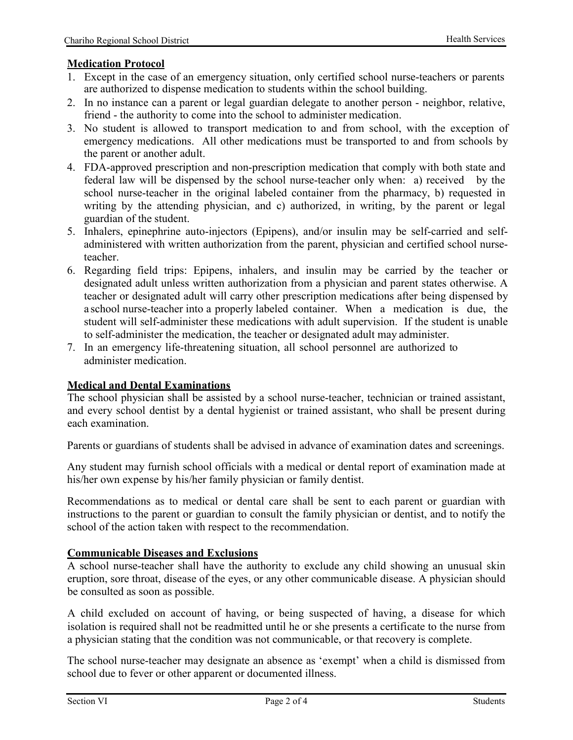## **Medication Protocol**

- 1. Except in the case of an emergency situation, only certified school nurse-teachers or parents are authorized to dispense medication to students within the school building.
- 2. In no instance can a parent or legal guardian delegate to another person neighbor, relative, friend - the authority to come into the school to administer medication.
- 3. No student is allowed to transport medication to and from school, with the exception of emergency medications. All other medications must be transported to and from schools by the parent or another adult.
- 4. FDA-approved prescription and non-prescription medication that comply with both state and federal law will be dispensed by the school nurse-teacher only when: a) received by the school nurse-teacher in the original labeled container from the pharmacy, b) requested in writing by the attending physician, and c) authorized, in writing, by the parent or legal guardian of the student.
- 5. Inhalers, epinephrine auto-injectors (Epipens), and/or insulin may be self-carried and selfadministered with written authorization from the parent, physician and certified school nurseteacher.
- 6. Regarding field trips: Epipens, inhalers, and insulin may be carried by the teacher or designated adult unless written authorization from a physician and parent states otherwise. A teacher or designated adult will carry other prescription medications after being dispensed by a school nurse-teacher into a properly labeled container. When a medication is due, the student will self-administer these medications with adult supervision. If the student is unable to self-administer the medication, the teacher or designated adult may administer.
- 7. In an emergency life-threatening situation, all school personnel are authorized to administer medication.

## **Medical and Dental Examinations**

The school physician shall be assisted by a school nurse-teacher, technician or trained assistant, and every school dentist by a dental hygienist or trained assistant, who shall be present during each examination.

Parents or guardians of students shall be advised in advance of examination dates and screenings.

Any student may furnish school officials with a medical or dental report of examination made at his/her own expense by his/her family physician or family dentist.

Recommendations as to medical or dental care shall be sent to each parent or guardian with instructions to the parent or guardian to consult the family physician or dentist, and to notify the school of the action taken with respect to the recommendation.

### **Communicable Diseases and Exclusions**

A school nurse-teacher shall have the authority to exclude any child showing an unusual skin eruption, sore throat, disease of the eyes, or any other communicable disease. A physician should be consulted as soon as possible.

A child excluded on account of having, or being suspected of having, a disease for which isolation is required shall not be readmitted until he or she presents a certificate to the nurse from a physician stating that the condition was not communicable, or that recovery is complete.

The school nurse-teacher may designate an absence as 'exempt' when a child is dismissed from school due to fever or other apparent or documented illness.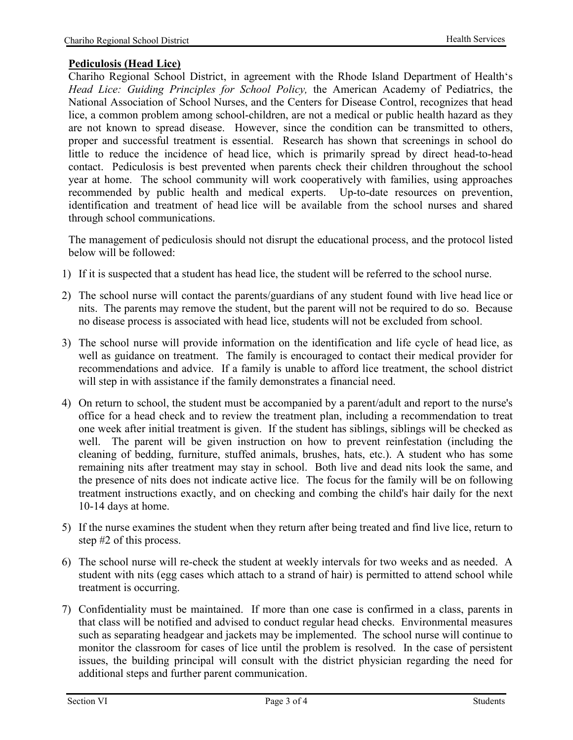## **Pediculosis (Head Lice)**

Chariho Regional School District, in agreement with the Rhode Island Department of Health's *Head Lice: Guiding Principles for School Policy,* the American Academy of Pediatrics, the National Association of School Nurses, and the Centers for Disease Control, recognizes that head lice, a common problem among school-children, are not a medical or public health hazard as they are not known to spread disease. However, since the condition can be transmitted to others, proper and successful treatment is essential. Research has shown that screenings in school do little to reduce the incidence of head lice, which is primarily spread by direct head-to-head contact. Pediculosis is best prevented when parents check their children throughout the school year at home. The school community will work cooperatively with families, using approaches recommended by public health and medical experts. Up-to-date resources on prevention, identification and treatment of head lice will be available from the school nurses and shared through school communications.

The management of pediculosis should not disrupt the educational process, and the protocol listed below will be followed:

- 1) If it is suspected that a student has head lice, the student will be referred to the school nurse.
- 2) The school nurse will contact the parents/guardians of any student found with live head lice or nits. The parents may remove the student, but the parent will not be required to do so. Because no disease process is associated with head lice, students will not be excluded from school.
- 3) The school nurse will provide information on the identification and life cycle of head lice, as well as guidance on treatment. The family is encouraged to contact their medical provider for recommendations and advice. If a family is unable to afford lice treatment, the school district will step in with assistance if the family demonstrates a financial need.
- 4) On return to school, the student must be accompanied by a parent/adult and report to the nurse's office for a head check and to review the treatment plan, including a recommendation to treat one week after initial treatment is given. If the student has siblings, siblings will be checked as well. The parent will be given instruction on how to prevent reinfestation (including the cleaning of bedding, furniture, stuffed animals, brushes, hats, etc.). A student who has some remaining nits after treatment may stay in school. Both live and dead nits look the same, and the presence of nits does not indicate active lice. The focus for the family will be on following treatment instructions exactly, and on checking and combing the child's hair daily for the next 10-14 days at home.
- 5) If the nurse examines the student when they return after being treated and find live lice, return to step #2 of this process.
- 6) The school nurse will re-check the student at weekly intervals for two weeks and as needed. A student with nits (egg cases which attach to a strand of hair) is permitted to attend school while treatment is occurring.
- 7) Confidentiality must be maintained. If more than one case is confirmed in a class, parents in that class will be notified and advised to conduct regular head checks. Environmental measures such as separating headgear and jackets may be implemented. The school nurse will continue to monitor the classroom for cases of lice until the problem is resolved. In the case of persistent issues, the building principal will consult with the district physician regarding the need for additional steps and further parent communication.